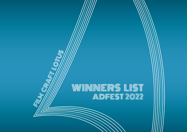# W/WINNERS LIST ADFEST 2022

NAMES OF REAL PROPERTY.

(G)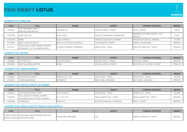## FILM CRAFT LOTUS



#### **CATEGORY CF01: DIRECTING**

| <b>CODE</b> | <b>TITLE</b>                                                               | <b>BRAND</b>                           | <b>AGENCY</b>                 | <b>COMPANY ENTERING</b>                         | <b>AWARDS</b>   |
|-------------|----------------------------------------------------------------------------|----------------------------------------|-------------------------------|-------------------------------------------------|-----------------|
| CF01/010    | <b>ISTOP DREAMING ABOUT</b><br>NEW ZEALAND AND GO                          | <b>TOURISM NZ</b>                      | SPECIAL GROUP, SYDNEY         | <b>FINCH, SYDNEY</b>                            | GOLD            |
| CF01/020    | <b>CARE LIVES ON</b>                                                       | <b>VICKS INDIA</b>                     | PUBLICIS SINGAPORE, SINGAPORE | MEMESYS CULTURE LAB PVT. LTD.,<br><b>PANJIM</b> | GOLD            |
| CF01/018    | <b>HOME</b>                                                                | <b>ROYAL ENFIELD</b>                   | CREATIVE COCONUTS, MUMBAI     | CREATIVE COCONUTS, MUMBAI                       | <b>SILVER</b>   |
| CF01/005    | MAKE LAMB NOT WALLS                                                        | <b>IMEAT &amp; LIVESTOCK AUSTRALIA</b> | THE MONKEYS, SYDNEY           | AIRBAG, MELBOURNE                               | <b>BRONZE</b>   |
| CF01/011    | TOKYO 2020 OLYMPIC GAMES OPENING<br><b>ICEREMONY / LET THE GAMES BEGIN</b> | <b>IOLYMPIC OPENING CEREMONY</b>       | <b>IDENTSU INC., TOKYO</b>    | GEEK PICTURES INC., TOKYO                       | <b>FINALIST</b> |

#### **CATEGORY CF02: EDITING**

| CODE     | <b>TITLE</b>                | <b>BRAND</b>          | <b>AGENCY</b>         | <b>COMPANY ENTERING</b>      | <b>AWARDS</b>   |
|----------|-----------------------------|-----------------------|-----------------------|------------------------------|-----------------|
| CF02/003 | <b>IELECTRIC EYE</b>        | <b>AUDI AUSTRALIA</b> | WE ARE SOCIAL, SYDNEY | <b>HECKLER, SYDNEY</b>       | <b>BRONZE</b>   |
| CF02/005 | <b>HOW YOU GROW MATTERS</b> | KPMG                  | ECIAL GROUP, SYDNEY   | PHOTOPLAY / PLAYTIME, SYDNEY | <b>FINALIST</b> |

#### **CATEGORY CF03: CINEMATOGRAPHY**

| CODE     | <b>TITLE</b>      | <b>BRAND</b>                            | <b>AGENCY</b>       | <b>COMPANY ENTERING</b> | <b>AWARDS</b> |
|----------|-------------------|-----------------------------------------|---------------------|-------------------------|---------------|
| CF03/009 | FOLLOW YOUR HEART | I TD<br><b>IRECRUL</b><br>'T CO.,<br>니니 | DENTSU INC., TOKYO  | DENTSU INC., TOKYO      | ا با ۱۲ با اب |
| CF03/012 | A NEW AWAKENING   | <b>BURBERRY</b>                         | BBH CHINA, SHANGHAI | BBH CHINA, SHANGHAI     | <b>BRONZE</b> |

#### **CATEGORY CF04: SPECIAL EFFECTS: IN-CAMERA**

| CODE     | TITLE                                                                  | <b>BRAND</b>     | <b>AGENCY</b>             | <b>COMPANY ENTERING</b>  | <b>AWARDS</b> |
|----------|------------------------------------------------------------------------|------------------|---------------------------|--------------------------|---------------|
| CF04/001 | <b>THE PASSION NEVER STOPS</b>                                         | BOSS COFFEE      | DENTSU INC., TOKYO        | DENTSU INC., TOKYO       | <b>SILVER</b> |
| CF04/003 | <b>THE LONGING TO TRAVEL SHAPES</b><br>THE LANDSCAPE OF EVERY JOURNEY. | H.I.S. CO., LTD. | TOKYU AGENCY INC., TOKYO  | TOKYU AGENCY INC., TOKYO | BRONZE        |
| CF04/004 | LUNARLAND                                                              | ONEPLUS          | MOTHER SHANGHAI, SHANGHAI | <b>FINCH, SYDNEY</b>     | <b>BRONZE</b> |

#### **CATEGORY CF05: SPECIAL EFFECTS: DIGITAL VISUAL EFFECTS**

| CODE | <b>TITLE</b>                                                                   | <b>BRAND</b>       | <b>AGENCY</b> | <b>COMPANY ENTERING</b>  | <b>AWARDS</b> |
|------|--------------------------------------------------------------------------------|--------------------|---------------|--------------------------|---------------|
|      | CF05/016 MOVE IYAKUSHIMA TREASURE ANOTHER LIVE<br>FROM CF06/001 FROM YAKUSHIMA | YAKUSHIMA TREASURE | N/4           | DENTSU CREATIVE X, TOKYO | <b>BRONZE</b> |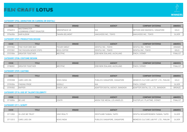

#### **CATEGORY CF06: ANIMATION (IN-CAMERA OR DIGITAL)**

| CODE     | <b>TITLE</b>                                     | <b>BRAND</b>         | <b>AGENCY</b>        | <b>COMPANY ENTERING</b>       | <b>AWARDS</b> |
|----------|--------------------------------------------------|----------------------|----------------------|-------------------------------|---------------|
| CF06/012 | <b>WASTEMINSTER</b><br>A DOWNING STREET DISASTER | <b>GREENPEACE UK</b> | IN/                  | METHOD AND MADNESS, SINGAPORE | GOLD          |
| CF06/006 | <b>HAIR ALBUM</b>                                | TAKARA BELMONT       | HAKUHODO INC., TOKYO | HAKUHODO INC., TOKYO          | SILVER        |

#### **CATEGORY CF07: PRODUCTION DESIGN**

| CODE     | <b>TITLE</b>                    | <b>BRAND</b>        | <b>AGENCY</b>             | <b>COMPANY ENTERING</b> | <b>AWARDS</b>   |
|----------|---------------------------------|---------------------|---------------------------|-------------------------|-----------------|
| CF07/002 | FIND YOUR OWN WAY               | <b>POCARI SWEAT</b> | DENTSU INC., TOKYO        | DENTSU INC., TOKYO      | GRANDE          |
| CF07/001 | <b>ITHE PASSION NEVER STOPS</b> | <b>BOSS COFFEE</b>  | DENTSU INC., TOKYO        | DENTSU INC., TOKYO      | GOLD            |
| CF07/004 | <b>GREATER TOGETHER</b>         | <b>WESTPAC</b>      | DDB NEW ZEALAND, AUCKLAND | FINCH, SYDNEY           | <b>FINALIST</b> |

#### **CATEGORY CF08: COSTUME DESIGN**

| CODE     | <b>TITLE</b>                                    | <b>BRAND</b>   | <b>AGENCY</b>                | <b>COMPANY ENTERING</b>                                                            | <b>AWARDS</b>                                             |
|----------|-------------------------------------------------|----------------|------------------------------|------------------------------------------------------------------------------------|-----------------------------------------------------------|
| CF08/001 | $\cdots$<br>. I HEF<br>$  \neg R $<br>$111.7 -$ | <b>WESTPAC</b> | AUCKLAND<br>JDB NEW ZEALAND. | $\Gamma$ $\Gamma$ $\cap$<br>$\sim$ $\sim$ $\sim$ $\sim$ $\sim$<br>, SYDNE<br>INUH. | $-1$ $\uparrow$ $\uparrow$ $\uparrow$<br>$\sim$<br>INALIS |

#### **CATEGORY CF09: CASTING**

| CODE     | TITLE                | <b>BRAND</b>       | <b>AGENCY</b>                   | <b>COMPANY ENTERING</b>               | <b>AWARDS</b> |
|----------|----------------------|--------------------|---------------------------------|---------------------------------------|---------------|
| CF09/008 | CARE LIVES ON        | <b>VICKS INDIA</b> | PUBLICIS SINGAPORE, SINGAPORE   | MEMESYS CULTURE LAB PVT. LTD., PANJIM | GOLD          |
| CF09/004 | <b>FINDING PRIDE</b> | GOOGLE             | N/A                             | <b>FINCH. SYDNEY</b>                  | <b>SILVER</b> |
| CF09/002 | RAPPER               | SNACK JACK         | ADAPTER DIGITAL AGENCY, BANGKOK | ADAPTER DIGITAL CO., LTD., BANGKOK    | BRONZE        |

#### **CATEGORY CF10: USE OF TALENT/CELEBRITY**

| CODE            | <b>TITLE</b>      | <b>BRAND</b>      | <b>AGENCY</b>                        | <b>COMPANY ENTERING</b>                      | <b>AWARDS</b>   |
|-----------------|-------------------|-------------------|--------------------------------------|----------------------------------------------|-----------------|
| <b>↑F10/004</b> | <b>BE</b><br>LIKE | CENITI<br>ULIVIIV | . LOS ANGELES<br>MOON TIDE.<br>MEDIA | 1E. SYDNEY<br>. ∟AYIMF <sup>cve</sup><br>LAI | <b>FINALIST</b> |

#### **CATEGORY CF11: SCRIPT**

| CODE     | TITLE            | <b>BRAND</b>       | <b>AGENCY</b>                 | <b>COMPANY ENTERING</b>               | AWARDS        |
|----------|------------------|--------------------|-------------------------------|---------------------------------------|---------------|
| CF11/002 | IN LOVE WE TRUST | SINYI REALTY       | DENTSUMB TAIWAN, TAIPEI       | DENTSU MCGARRYBOWEN TAIWAN, TAIPEI    | <b>SILVER</b> |
| CF11/013 | CARE LIVES ON    | <b>VICKS INDIA</b> | PUBLICIS SINGAPORE, SINGAPORE | MEMESYS CULTURE LAB PVT. LTD., PANJIM | <b>SILVER</b> |